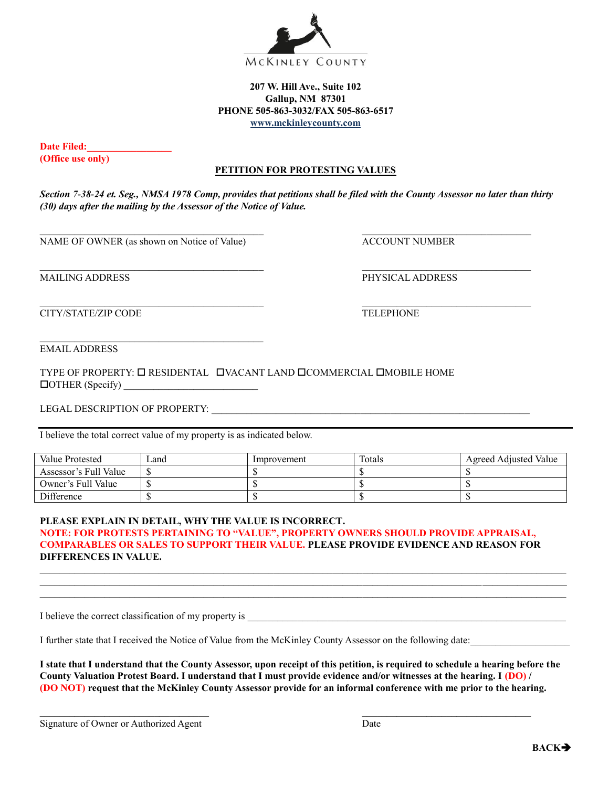

## **207 W. Hill Ave., Suite 102 Gallup, NM 87301 PHONE 505-863-3032/FAX 505-863-6517 [www.mckinleyc](http://www.mckinley/)ounty.com**

**Date Filed: (Office use only)**

## **PETITION FOR PROTESTING VALUES**

*Section 7-38-24 et. Seg., NMSA 1978 Comp, provides that petitions shall be filed with the County Assessor no later than thirty (30) days after the mailing by the Assessor of the Notice of Value.*

NAME OF OWNER (as shown on Notice of Value) ACCOUNT NUMBER

MAILING ADDRESS PHYSICAL ADDRESS

CITY/STATE/ZIP CODE TELEPHONE

EMAIL ADDRESS

TYPE OF PROPERTY:  $\square$  RESIDENTAL  $\square$  VACANT LAND  $\square$ COMMERCIAL  $\square$ MOBILE HOME OTHER (Specify) \_\_\_\_\_\_\_\_\_\_\_\_\_\_\_\_\_\_\_\_\_\_\_\_\_\_\_

LEGAL DESCRIPTION OF PROPERTY: \_\_\_\_\_\_\_\_\_\_\_\_\_\_\_\_\_\_\_\_\_\_\_\_\_\_\_\_\_\_\_\_\_\_\_\_\_\_\_\_\_\_\_\_\_\_\_\_\_\_\_\_\_\_\_\_\_\_\_\_\_\_\_\_

I believe the total correct value of my property is as indicated below.

| Value Protested       | Land | Improvement | Totals | Agreed Adjusted Value |
|-----------------------|------|-------------|--------|-----------------------|
| Assessor's Full Value |      |             |        |                       |
| Owner's Full Value    |      |             |        |                       |
| <b>Difference</b>     |      |             |        |                       |

## **PLEASE EXPLAIN IN DETAIL, WHY THE VALUE IS INCORRECT. NOTE: FOR PROTESTS PERTAINING TO "VALUE", PROPERTY OWNERS SHOULD PROVIDE APPRAISAL,**

## **COMPARABLES OR SALES TO SUPPORT THEIR VALUE. PLEASE PROVIDE EVIDENCE AND REASON FOR DIFFERENCES IN VALUE.**

 $\mathcal{L}_\text{max} = \frac{1}{2} \sum_{i=1}^n \mathcal{L}_\text{max} = \frac{1}{2} \sum_{i=1}^n \mathcal{L}_\text{max} = \frac{1}{2} \sum_{i=1}^n \mathcal{L}_\text{max} = \frac{1}{2} \sum_{i=1}^n \mathcal{L}_\text{max} = \frac{1}{2} \sum_{i=1}^n \mathcal{L}_\text{max} = \frac{1}{2} \sum_{i=1}^n \mathcal{L}_\text{max} = \frac{1}{2} \sum_{i=1}^n \mathcal{L}_\text{max} = \frac{1}{2} \sum_{i=$  $\mathcal{L}_\text{max} = \frac{1}{2} \sum_{i=1}^n \mathcal{L}_\text{max} = \frac{1}{2} \sum_{i=1}^n \mathcal{L}_\text{max} = \frac{1}{2} \sum_{i=1}^n \mathcal{L}_\text{max} = \frac{1}{2} \sum_{i=1}^n \mathcal{L}_\text{max} = \frac{1}{2} \sum_{i=1}^n \mathcal{L}_\text{max} = \frac{1}{2} \sum_{i=1}^n \mathcal{L}_\text{max} = \frac{1}{2} \sum_{i=1}^n \mathcal{L}_\text{max} = \frac{1}{2} \sum_{i=$  $\mathcal{L}_\text{max} = \frac{1}{2} \sum_{i=1}^n \mathcal{L}_\text{max} = \frac{1}{2} \sum_{i=1}^n \mathcal{L}_\text{max} = \frac{1}{2} \sum_{i=1}^n \mathcal{L}_\text{max} = \frac{1}{2} \sum_{i=1}^n \mathcal{L}_\text{max} = \frac{1}{2} \sum_{i=1}^n \mathcal{L}_\text{max} = \frac{1}{2} \sum_{i=1}^n \mathcal{L}_\text{max} = \frac{1}{2} \sum_{i=1}^n \mathcal{L}_\text{max} = \frac{1}{2} \sum_{i=$ 

I believe the correct classification of my property is

I further state that I received the Notice of Value from the McKinley County Assessor on the following date:

**I state that I understand that the County Assessor, upon receipt of this petition, is required to schedule a hearing before the County Valuation Protest Board. I understand that I must provide evidence and/or witnesses at the hearing. I (DO) / (DO NOT) request that the McKinley County Assessor provide for an informal conference with me prior to the hearing.**

 $\mathcal{L}_\text{max}$ 

Signature of Owner or Authorized Agent Date